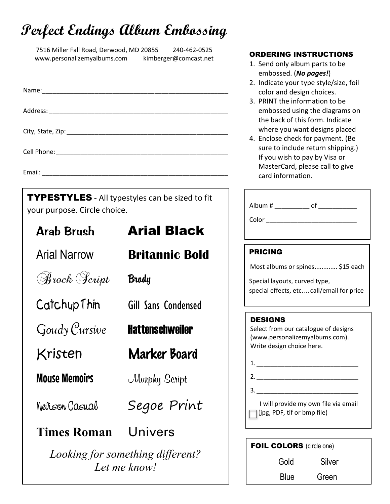## Perfect Endings Album Embossing

7516 Miller Fall Road, Derwood, MD 20855 240-462-0525 www.personalizemyalbums.com kimberger@comcast.net

Name: Address: \_\_\_\_\_\_\_\_\_\_\_\_\_\_\_\_\_\_\_\_\_\_\_\_\_\_\_\_\_\_\_\_\_\_\_\_\_\_\_\_\_\_\_\_\_\_\_\_\_\_\_ City, State, Zip: \_\_\_\_\_\_\_\_\_\_\_\_\_\_\_\_\_\_\_\_\_\_\_\_\_\_\_\_\_\_\_\_\_\_\_\_\_\_\_\_\_\_\_\_\_\_ Cell Phone: <u>and</u> the control of the control of the control of the control of the control of the control of the control of the control of the control of the control of the control of the control of the control of the contr

Email: \_\_\_\_\_\_\_\_\_\_\_\_\_\_\_\_\_\_\_\_\_\_\_\_\_\_\_\_\_\_\_\_\_\_\_\_\_\_\_\_\_\_\_\_\_\_\_\_\_\_\_\_\_

TYPESTYLES - All typestyles can be sized to fit your purpose. Circle choice.

**Arab Brush** 

Arial Narrow **Britannic Bold** 

**Hattenschweiler** 

Segoe Print

Arial Black

Brody

Catchup Thin Gill Sans Condensed

Goudy Cursive

Brock Script

Kristen Marker Board

Mouse Memoirs Murphy Script

Nevison Casual

### Times Roman Univers

Looking for something different? Let me know!

#### ORDERING INSTRUCTIONS

- 1. Send only album parts to be embossed. (No pages!)
- 2. Indicate your type style/size, foil color and design choices.
- 3. PRINT the information to be embossed using the diagrams on the back of this form. Indicate where you want designs placed
- 4. Enclose check for payment. (Be sure to include return shipping.) If you wish to pay by Visa or MasterCard, please call to give card information.

| Album # ____________ of ___________<br>Color                                                                             |
|--------------------------------------------------------------------------------------------------------------------------|
| PRICING<br>Most albums or spines \$15 each<br>Special layouts, curved type,<br>special effects, etc call/email for price |
| DESIGNS<br>Select from our catalogue of designs<br>(www.personalizemyalbums.com).<br>Write design choice here.           |

| $\overline{2}$ .                     |  |  |  |
|--------------------------------------|--|--|--|
| 3.                                   |  |  |  |
| I will provide my own file via email |  |  |  |

| $\Box$ (jpg, PDF, tif or bmp file) |  |
|------------------------------------|--|
|------------------------------------|--|

| <b>FOIL COLORS</b> (circle one) |        |  |  |  |
|---------------------------------|--------|--|--|--|
| Gold                            | Silver |  |  |  |
| <b>Blue</b>                     | Green  |  |  |  |